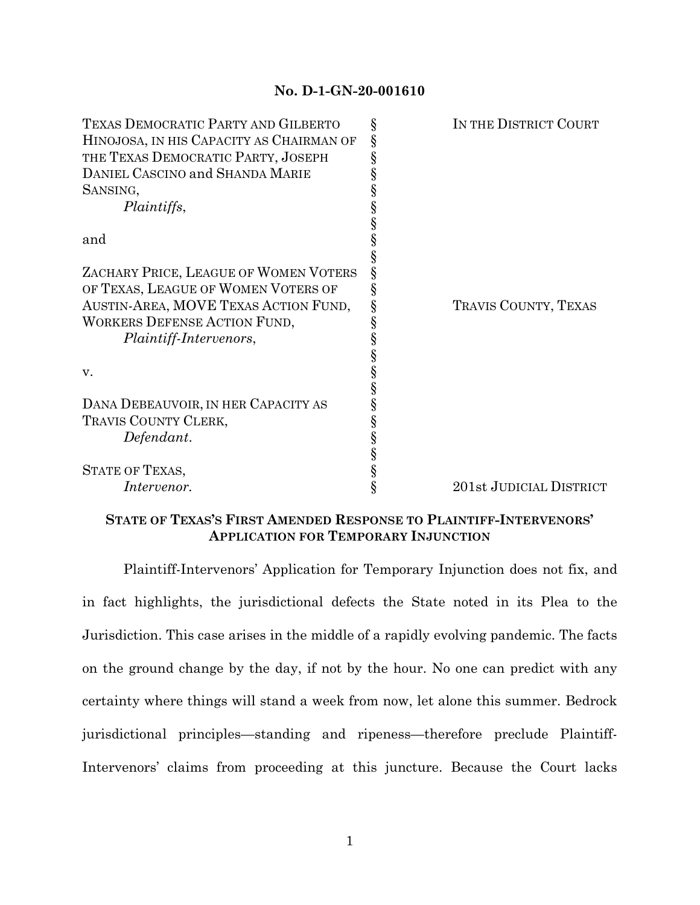## **No. D-1-GN-20-001610**

| TEXAS DEMOCRATIC PARTY AND GILBERTO      | § | IN THE DISTRICT COURT   |
|------------------------------------------|---|-------------------------|
| HINOJOSA, IN HIS CAPACITY AS CHAIRMAN OF | ş |                         |
| THE TEXAS DEMOCRATIC PARTY, JOSEPH       |   |                         |
| DANIEL CASCINO and SHANDA MARIE          |   |                         |
| SANSING,                                 |   |                         |
| Plaintiffs,                              |   |                         |
|                                          |   |                         |
| and                                      |   |                         |
|                                          |   |                         |
| ZACHARY PRICE, LEAGUE OF WOMEN VOTERS    |   |                         |
| OF TEXAS, LEAGUE OF WOMEN VOTERS OF      |   |                         |
| AUSTIN-AREA, MOVE TEXAS ACTION FUND,     |   | TRAVIS COUNTY, TEXAS    |
| WORKERS DEFENSE ACTION FUND,             |   |                         |
| <i>Plaintiff-Intervenors,</i>            |   |                         |
|                                          |   |                         |
| V.                                       |   |                         |
|                                          |   |                         |
| DANA DEBEAUVOIR, IN HER CAPACITY AS      |   |                         |
| TRAVIS COUNTY CLERK,                     | § |                         |
| Defendant.                               |   |                         |
|                                          |   |                         |
| <b>STATE OF TEXAS,</b>                   | § |                         |
| <i>Intervenor.</i>                       | § | 201st JUDICIAL DISTRICT |
|                                          |   |                         |

## **STATE OF TEXAS'S FIRST AMENDED RESPONSE TO PLAINTIFF-INTERVENORS' APPLICATION FOR TEMPORARY INJUNCTION**

Plaintiff-Intervenors' Application for Temporary Injunction does not fix, and in fact highlights, the jurisdictional defects the State noted in its Plea to the Jurisdiction. This case arises in the middle of a rapidly evolving pandemic. The facts on the ground change by the day, if not by the hour. No one can predict with any certainty where things will stand a week from now, let alone this summer. Bedrock jurisdictional principles—standing and ripeness—therefore preclude Plaintiff-Intervenors' claims from proceeding at this juncture. Because the Court lacks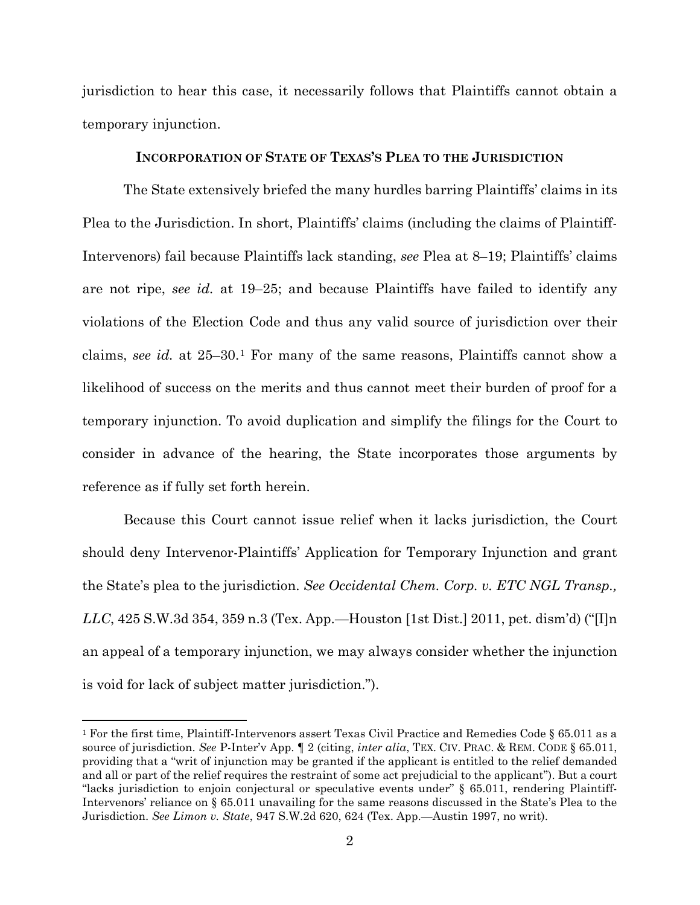jurisdiction to hear this case, it necessarily follows that Plaintiffs cannot obtain a temporary injunction.

## **INCORPORATION OF STATE OF TEXAS'S PLEA TO THE JURISDICTION**

The State extensively briefed the many hurdles barring Plaintiffs' claims in its Plea to the Jurisdiction. In short, Plaintiffs' claims (including the claims of Plaintiff-Intervenors) fail because Plaintiffs lack standing, *see* Plea at 8–19; Plaintiffs' claims are not ripe, *see id.* at 19–25; and because Plaintiffs have failed to identify any violations of the Election Code and thus any valid source of jurisdiction over their claims, *see id.* at 25–30.[1](#page-1-0) For many of the same reasons, Plaintiffs cannot show a likelihood of success on the merits and thus cannot meet their burden of proof for a temporary injunction. To avoid duplication and simplify the filings for the Court to consider in advance of the hearing, the State incorporates those arguments by reference as if fully set forth herein.

Because this Court cannot issue relief when it lacks jurisdiction, the Court should deny Intervenor-Plaintiffs' Application for Temporary Injunction and grant the State's plea to the jurisdiction. *See Occidental Chem. Corp. v. ETC NGL Transp., LLC*, 425 S.W.3d 354, 359 n.3 (Tex. App.—Houston [1st Dist.] 2011, pet. dism'd) ("[I]n an appeal of a temporary injunction, we may always consider whether the injunction is void for lack of subject matter jurisdiction.").

<span id="page-1-0"></span> <sup>1</sup> For the first time, Plaintiff-Intervenors assert Texas Civil Practice and Remedies Code § 65.011 as a source of jurisdiction. *See* P-Inter'v App. ¶ 2 (citing, *inter alia*, TEX. CIV. PRAC. & REM. CODE § 65.011, providing that a "writ of injunction may be granted if the applicant is entitled to the relief demanded and all or part of the relief requires the restraint of some act prejudicial to the applicant"). But a court "lacks jurisdiction to enjoin conjectural or speculative events under" § 65.011, rendering Plaintiff-Intervenors' reliance on § 65.011 unavailing for the same reasons discussed in the State's Plea to the Jurisdiction. *See Limon v. State*, 947 S.W.2d 620, 624 (Tex. App.—Austin 1997, no writ).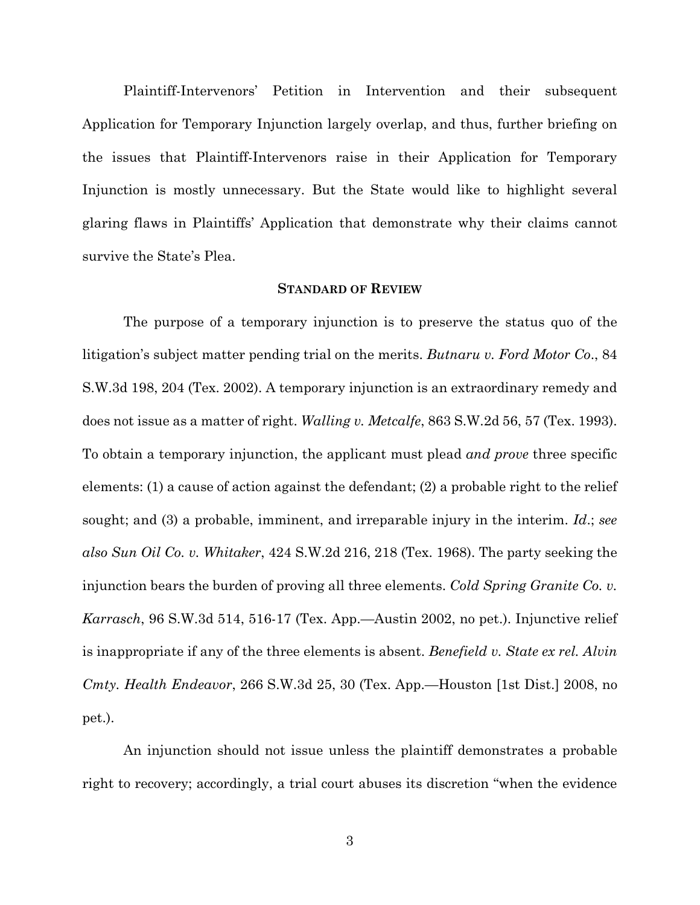Plaintiff-Intervenors' Petition in Intervention and their subsequent Application for Temporary Injunction largely overlap, and thus, further briefing on the issues that Plaintiff-Intervenors raise in their Application for Temporary Injunction is mostly unnecessary. But the State would like to highlight several glaring flaws in Plaintiffs' Application that demonstrate why their claims cannot survive the State's Plea.

#### **STANDARD OF REVIEW**

The purpose of a temporary injunction is to preserve the status quo of the litigation's subject matter pending trial on the merits. *Butnaru v. Ford Motor Co*., 84 S.W.3d 198, 204 (Tex. 2002). A temporary injunction is an extraordinary remedy and does not issue as a matter of right. *Walling v. Metcalfe*, 863 S.W.2d 56, 57 (Tex. 1993). To obtain a temporary injunction, the applicant must plead *and prove* three specific elements: (1) a cause of action against the defendant; (2) a probable right to the relief sought; and (3) a probable, imminent, and irreparable injury in the interim. *Id*.; *see also Sun Oil Co. v. Whitaker*, 424 S.W.2d 216, 218 (Tex. 1968). The party seeking the injunction bears the burden of proving all three elements. *Cold Spring Granite Co. v. Karrasch*, 96 S.W.3d 514, 516-17 (Tex. App.—Austin 2002, no pet.). Injunctive relief is inappropriate if any of the three elements is absent. *Benefield v. State ex rel. Alvin Cmty. Health Endeavor*, 266 S.W.3d 25, 30 (Tex. App.—Houston [1st Dist.] 2008, no pet.).

An injunction should not issue unless the plaintiff demonstrates a probable right to recovery; accordingly, a trial court abuses its discretion "when the evidence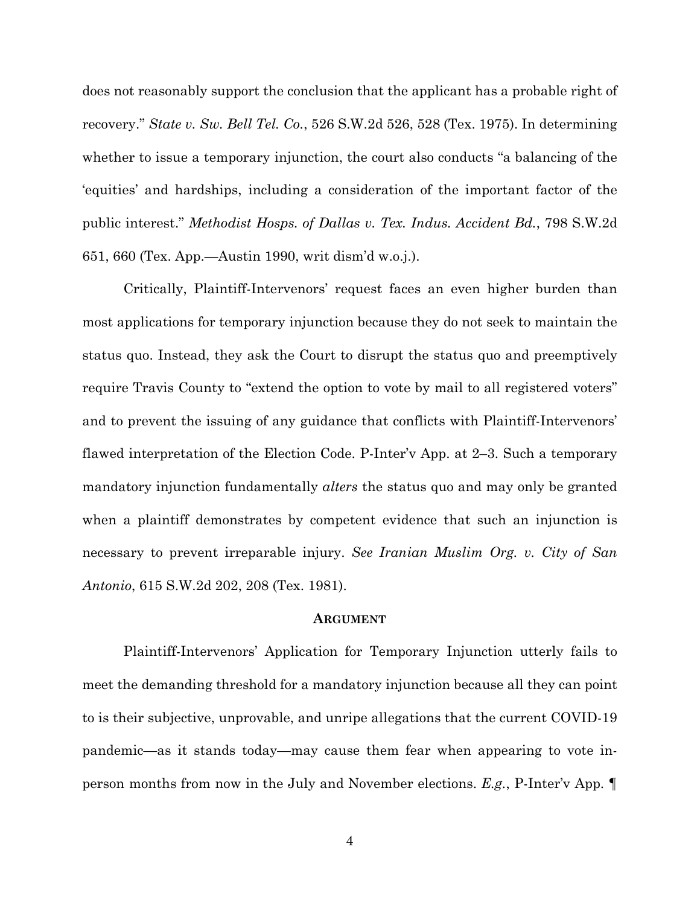does not reasonably support the conclusion that the applicant has a probable right of recovery." *State v. Sw. Bell Tel. Co.*, 526 S.W.2d 526, 528 (Tex. 1975). In determining whether to issue a temporary injunction, the court also conducts "a balancing of the 'equities' and hardships, including a consideration of the important factor of the public interest." *Methodist Hosps. of Dallas v. Tex. Indus. Accident Bd.*, 798 S.W.2d 651, 660 (Tex. App.—Austin 1990, writ dism'd w.o.j.).

Critically, Plaintiff-Intervenors' request faces an even higher burden than most applications for temporary injunction because they do not seek to maintain the status quo. Instead, they ask the Court to disrupt the status quo and preemptively require Travis County to "extend the option to vote by mail to all registered voters" and to prevent the issuing of any guidance that conflicts with Plaintiff-Intervenors' flawed interpretation of the Election Code. P-Inter'v App. at 2–3. Such a temporary mandatory injunction fundamentally *alters* the status quo and may only be granted when a plaintiff demonstrates by competent evidence that such an injunction is necessary to prevent irreparable injury. *See Iranian Muslim Org. v. City of San Antonio*, 615 S.W.2d 202, 208 (Tex. 1981).

#### **ARGUMENT**

Plaintiff-Intervenors' Application for Temporary Injunction utterly fails to meet the demanding threshold for a mandatory injunction because all they can point to is their subjective, unprovable, and unripe allegations that the current COVID-19 pandemic—as it stands today—may cause them fear when appearing to vote inperson months from now in the July and November elections. *E.g.*, P-Inter'v App. ¶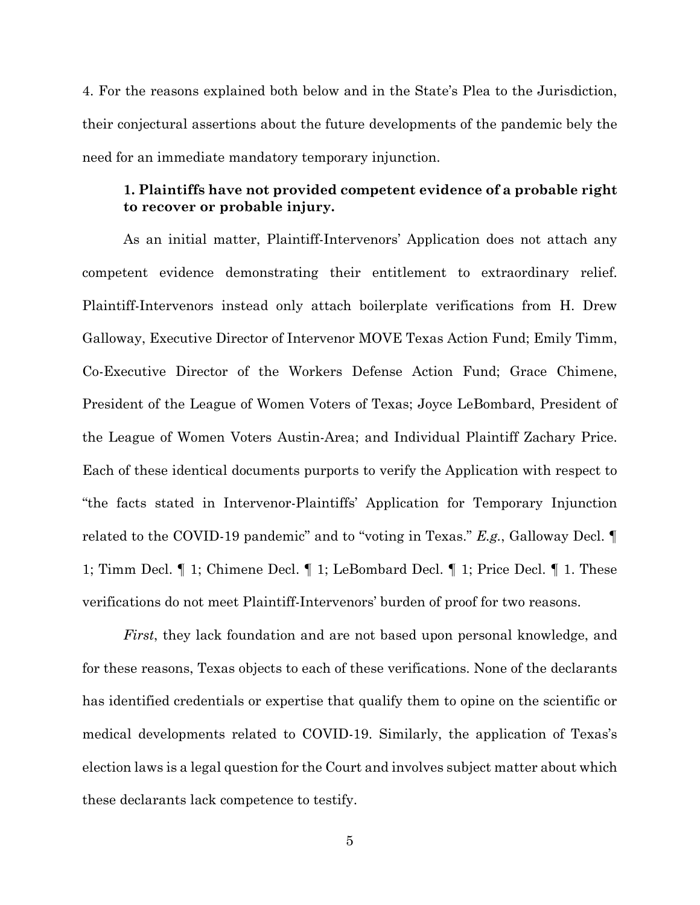4. For the reasons explained both below and in the State's Plea to the Jurisdiction, their conjectural assertions about the future developments of the pandemic bely the need for an immediate mandatory temporary injunction.

## **1. Plaintiffs have not provided competent evidence of a probable right to recover or probable injury.**

As an initial matter, Plaintiff-Intervenors' Application does not attach any competent evidence demonstrating their entitlement to extraordinary relief. Plaintiff-Intervenors instead only attach boilerplate verifications from H. Drew Galloway, Executive Director of Intervenor MOVE Texas Action Fund; Emily Timm, Co-Executive Director of the Workers Defense Action Fund; Grace Chimene, President of the League of Women Voters of Texas; Joyce LeBombard, President of the League of Women Voters Austin-Area; and Individual Plaintiff Zachary Price. Each of these identical documents purports to verify the Application with respect to "the facts stated in Intervenor-Plaintiffs' Application for Temporary Injunction related to the COVID-19 pandemic" and to "voting in Texas." *E.g.*, Galloway Decl. ¶ 1; Timm Decl. ¶ 1; Chimene Decl. ¶ 1; LeBombard Decl. ¶ 1; Price Decl. ¶ 1. These verifications do not meet Plaintiff-Intervenors' burden of proof for two reasons.

*First*, they lack foundation and are not based upon personal knowledge, and for these reasons, Texas objects to each of these verifications. None of the declarants has identified credentials or expertise that qualify them to opine on the scientific or medical developments related to COVID-19. Similarly, the application of Texas's election laws is a legal question for the Court and involves subject matter about which these declarants lack competence to testify.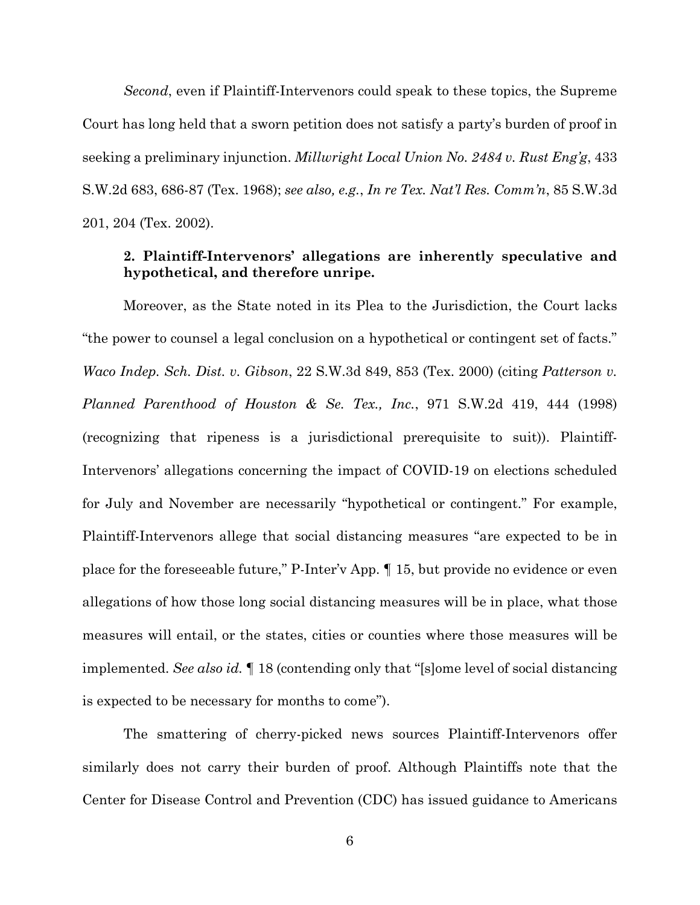*Second*, even if Plaintiff-Intervenors could speak to these topics, the Supreme Court has long held that a sworn petition does not satisfy a party's burden of proof in seeking a preliminary injunction. *Millwright Local Union No. 2484 v. Rust Eng'g*, 433 S.W.2d 683, 686-87 (Tex. 1968); *see also, e.g.*, *In re Tex. Nat'l Res. Comm'n*, 85 S.W.3d 201, 204 (Tex. 2002).

## **2. Plaintiff-Intervenors' allegations are inherently speculative and hypothetical, and therefore unripe.**

Moreover, as the State noted in its Plea to the Jurisdiction, the Court lacks "the power to counsel a legal conclusion on a hypothetical or contingent set of facts." *Waco Indep. Sch. Dist. v. Gibson*, 22 S.W.3d 849, 853 (Tex. 2000) (citing *Patterson v. Planned Parenthood of Houston & Se. Tex., Inc.*, 971 S.W.2d 419, 444 (1998) (recognizing that ripeness is a jurisdictional prerequisite to suit)). Plaintiff-Intervenors' allegations concerning the impact of COVID-19 on elections scheduled for July and November are necessarily "hypothetical or contingent." For example, Plaintiff-Intervenors allege that social distancing measures "are expected to be in place for the foreseeable future," P-Inter'v App. ¶ 15, but provide no evidence or even allegations of how those long social distancing measures will be in place, what those measures will entail, or the states, cities or counties where those measures will be implemented. *See also id.* ¶ 18 (contending only that "[s]ome level of social distancing is expected to be necessary for months to come").

The smattering of cherry-picked news sources Plaintiff-Intervenors offer similarly does not carry their burden of proof. Although Plaintiffs note that the Center for Disease Control and Prevention (CDC) has issued guidance to Americans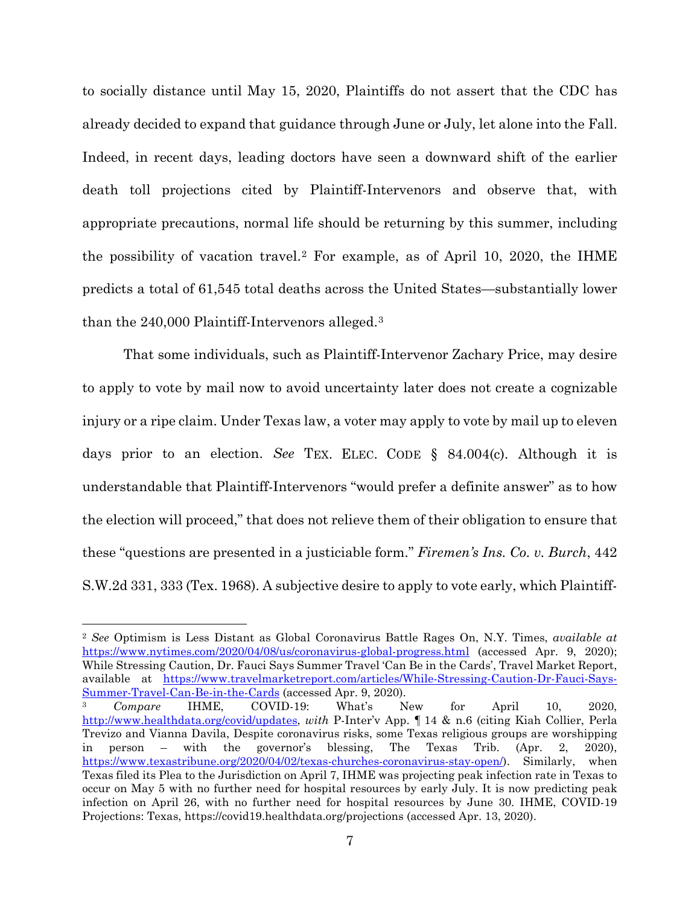to socially distance until May 15, 2020, Plaintiffs do not assert that the CDC has already decided to expand that guidance through June or July, let alone into the Fall. Indeed, in recent days, leading doctors have seen a downward shift of the earlier death toll projections cited by Plaintiff-Intervenors and observe that, with appropriate precautions, normal life should be returning by this summer, including the possibility of vacation travel.[2](#page-6-0) For example, as of April 10, 2020, the IHME predicts a total of 61,545 total deaths across the United States—substantially lower than the 240,000 Plaintiff-Intervenors alleged.[3](#page-6-1)

That some individuals, such as Plaintiff-Intervenor Zachary Price, may desire to apply to vote by mail now to avoid uncertainty later does not create a cognizable injury or a ripe claim. Under Texas law, a voter may apply to vote by mail up to eleven days prior to an election. *See* TEX. ELEC. CODE § 84.004(c). Although it is understandable that Plaintiff-Intervenors "would prefer a definite answer" as to how the election will proceed," that does not relieve them of their obligation to ensure that these "questions are presented in a justiciable form." *Firemen's Ins. Co. v. Burch*, 442 S.W.2d 331, 333 (Tex. 1968). A subjective desire to apply to vote early, which Plaintiff-

<span id="page-6-0"></span> 2 *See* Optimism is Less Distant as Global Coronavirus Battle Rages On, N.Y. Times, *available at* <https://www.nytimes.com/2020/04/08/us/coronavirus-global-progress.html> (accessed Apr. 9, 2020); While Stressing Caution, Dr. Fauci Says Summer Travel 'Can Be in the Cards', Travel Market Report, available at [https://www.travelmarketreport.com/articles/While-Stressing-Caution-Dr-Fauci-Says-](https://www.travelmarketreport.com/articles/While-Stressing-Caution-Dr-Fauci-Says-Summer-Travel-Can-Be-in-the-Cards)[Summer-Travel-Can-Be-in-the-Cards](https://www.travelmarketreport.com/articles/While-Stressing-Caution-Dr-Fauci-Says-Summer-Travel-Can-Be-in-the-Cards) (accessed Apr. 9, 2020).

<span id="page-6-1"></span><sup>3</sup> *Compare* IHME, COVID-19: What's New for April 10, 2020, [http://www.healthdata.org/covid/updates,](http://www.healthdata.org/covid/updates) *with* P-Inter'v App. ¶ 14 & n.6 (citing Kiah Collier, Perla Trevizo and Vianna Davila, Despite coronavirus risks, some Texas religious groups are worshipping in person – with the governor's blessing, The Texas Trib. (Apr. 2, 2020), [https://www.texastribune.org/2020/04/02/texas-churches-coronavirus-stay-open/\)](https://www.texastribune.org/2020/04/02/texas-churches-coronavirus-stay-open/). Similarly, when Texas filed its Plea to the Jurisdiction on April 7, IHME was projecting peak infection rate in Texas to occur on May 5 with no further need for hospital resources by early July. It is now predicting peak infection on April 26, with no further need for hospital resources by June 30. IHME, COVID-19 Projections: Texas, https://covid19.healthdata.org/projections (accessed Apr. 13, 2020).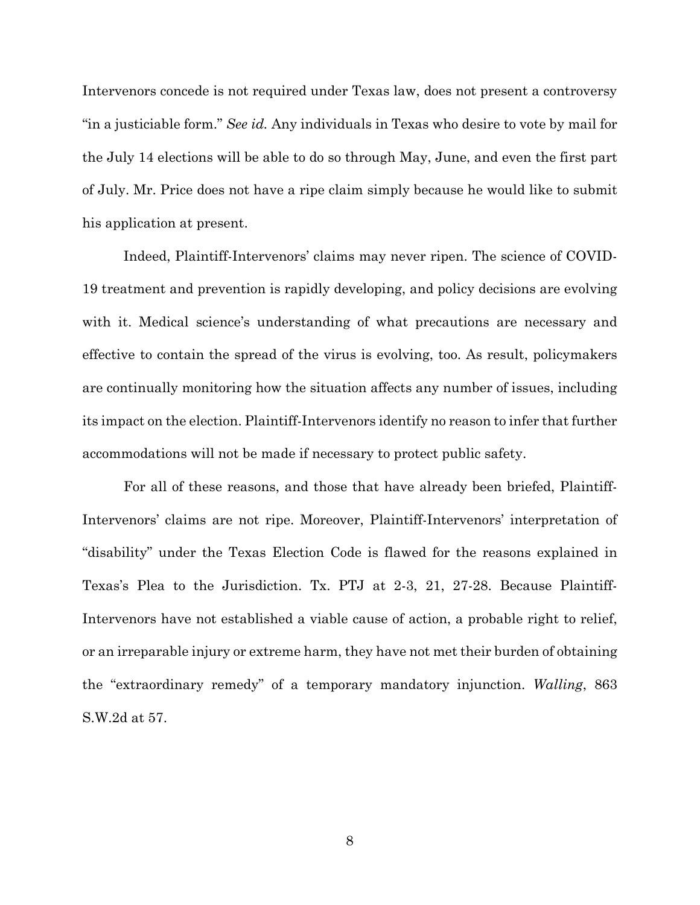Intervenors concede is not required under Texas law, does not present a controversy "in a justiciable form." *See id.* Any individuals in Texas who desire to vote by mail for the July 14 elections will be able to do so through May, June, and even the first part of July. Mr. Price does not have a ripe claim simply because he would like to submit his application at present.

Indeed, Plaintiff-Intervenors' claims may never ripen. The science of COVID-19 treatment and prevention is rapidly developing, and policy decisions are evolving with it. Medical science's understanding of what precautions are necessary and effective to contain the spread of the virus is evolving, too. As result, policymakers are continually monitoring how the situation affects any number of issues, including its impact on the election. Plaintiff-Intervenors identify no reason to infer that further accommodations will not be made if necessary to protect public safety.

For all of these reasons, and those that have already been briefed, Plaintiff-Intervenors' claims are not ripe. Moreover, Plaintiff-Intervenors' interpretation of "disability" under the Texas Election Code is flawed for the reasons explained in Texas's Plea to the Jurisdiction. Tx. PTJ at 2-3, 21, 27-28. Because Plaintiff-Intervenors have not established a viable cause of action, a probable right to relief, or an irreparable injury or extreme harm, they have not met their burden of obtaining the "extraordinary remedy" of a temporary mandatory injunction. *Walling*, 863 S.W.2d at 57.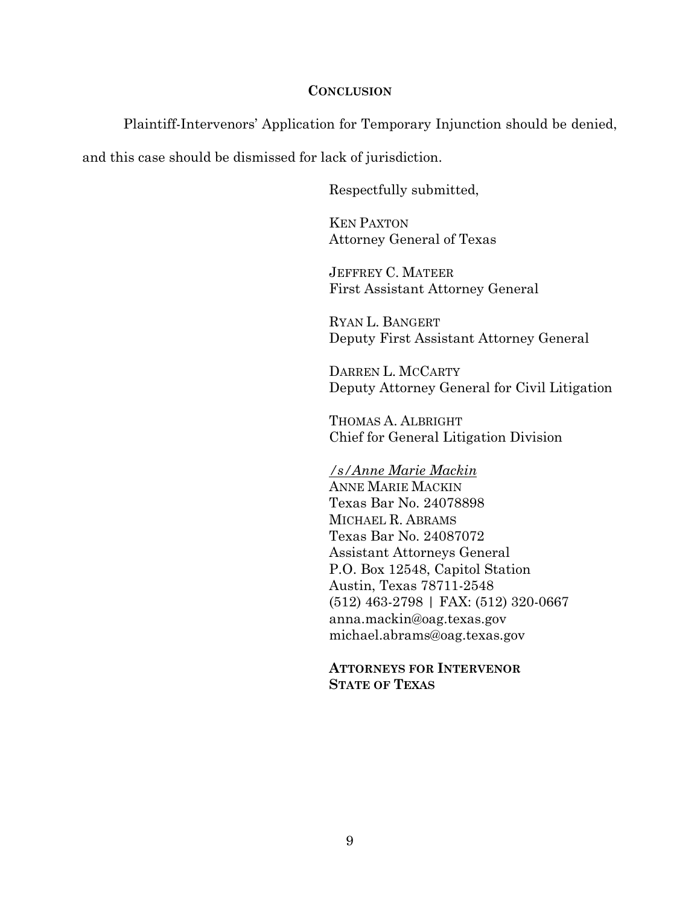## **CONCLUSION**

Plaintiff-Intervenors' Application for Temporary Injunction should be denied,

and this case should be dismissed for lack of jurisdiction.

Respectfully submitted,

KEN PAXTON Attorney General of Texas

JEFFREY C. MATEER First Assistant Attorney General

RYAN L. BANGERT Deputy First Assistant Attorney General

DARREN L. MCCARTY Deputy Attorney General for Civil Litigation

THOMAS A. ALBRIGHT Chief for General Litigation Division

*/s/Anne Marie Mackin* ANNE MARIE MACKIN Texas Bar No. 24078898 MICHAEL R. ABRAMS Texas Bar No. 24087072 Assistant Attorneys General P.O. Box 12548, Capitol Station Austin, Texas 78711-2548 (512) 463-2798 | FAX: (512) 320-0667 anna.mackin@oag.texas.gov michael.abrams@oag.texas.gov

**ATTORNEYS FOR INTERVENOR STATE OF TEXAS**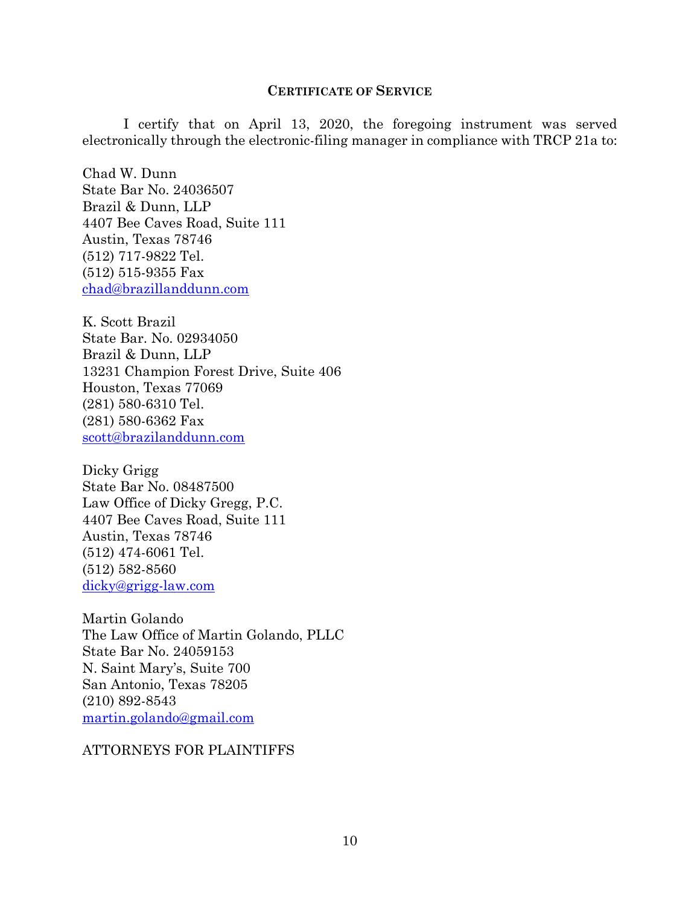## **CERTIFICATE OF SERVICE**

I certify that on April 13, 2020, the foregoing instrument was served electronically through the electronic-filing manager in compliance with TRCP 21a to:

Chad W. Dunn State Bar No. 24036507 Brazil & Dunn, LLP 4407 Bee Caves Road, Suite 111 Austin, Texas 78746 (512) 717-9822 Tel. (512) 515-9355 Fax [chad@brazillanddunn.com](mailto:chad@brazillanddunn.com)

K. Scott Brazil State Bar. No. 02934050 Brazil & Dunn, LLP 13231 Champion Forest Drive, Suite 406 Houston, Texas 77069 (281) 580-6310 Tel. (281) 580-6362 Fax [scott@brazilanddunn.com](mailto:scott@brazilanddunn.com)

Dicky Grigg State Bar No. 08487500 Law Office of Dicky Gregg, P.C. 4407 Bee Caves Road, Suite 111 Austin, Texas 78746 (512) 474-6061 Tel. (512) 582-8560 [dicky@grigg-law.com](mailto:dicky@grigg-law.com)

Martin Golando The Law Office of Martin Golando, PLLC State Bar No. 24059153 N. Saint Mary's, Suite 700 San Antonio, Texas 78205 (210) 892-8543 [martin.golando@gmail.com](mailto:martin.golando@gmail.com)

ATTORNEYS FOR PLAINTIFFS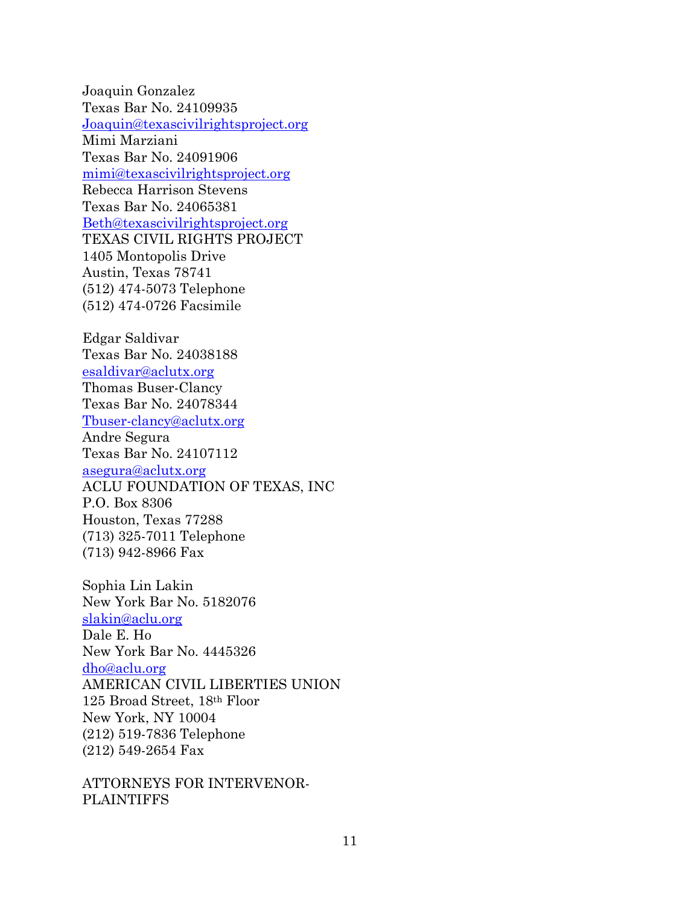Joaquin Gonzalez Texas Bar No. 24109935 [Joaquin@texascivilrightsproject.org](mailto:Joaquin@texascivilrightsproject.org) Mimi Marziani Texas Bar No. 24091906 [mimi@texascivilrightsproject.org](mailto:mimi@texascivilrightsproject.org) Rebecca Harrison Stevens Texas Bar No. 24065381 [Beth@texascivilrightsproject.org](mailto:Beth@texascivilrightsproject.org) TEXAS CIVIL RIGHTS PROJECT 1405 Montopolis Drive Austin, Texas 78741 (512) 474-5073 Telephone (512) 474-0726 Facsimile

Edgar Saldivar Texas Bar No. 24038188 [esaldivar@aclutx.org](mailto:esaldivar@aclutx.org) Thomas Buser-Clancy Texas Bar No. 24078344 [Tbuser-clancy@aclutx.org](mailto:Tbuser-clancy@aclutx.org) Andre Segura Texas Bar No. 24107112 [asegura@aclutx.org](mailto:asegura@aclutx.org) ACLU FOUNDATION OF TEXAS, INC P.O. Box 8306 Houston, Texas 77288 (713) 325-7011 Telephone (713) 942-8966 Fax

Sophia Lin Lakin New York Bar No. 5182076 [slakin@aclu.org](mailto:slakin@aclu.org) Dale E. Ho New York Bar No. 4445326 [dho@aclu.org](mailto:dho@aclu.org) AMERICAN CIVIL LIBERTIES UNION 125 Broad Street, 18th Floor New York, NY 10004 (212) 519-7836 Telephone (212) 549-2654 Fax

ATTORNEYS FOR INTERVENOR-**PLAINTIFFS**